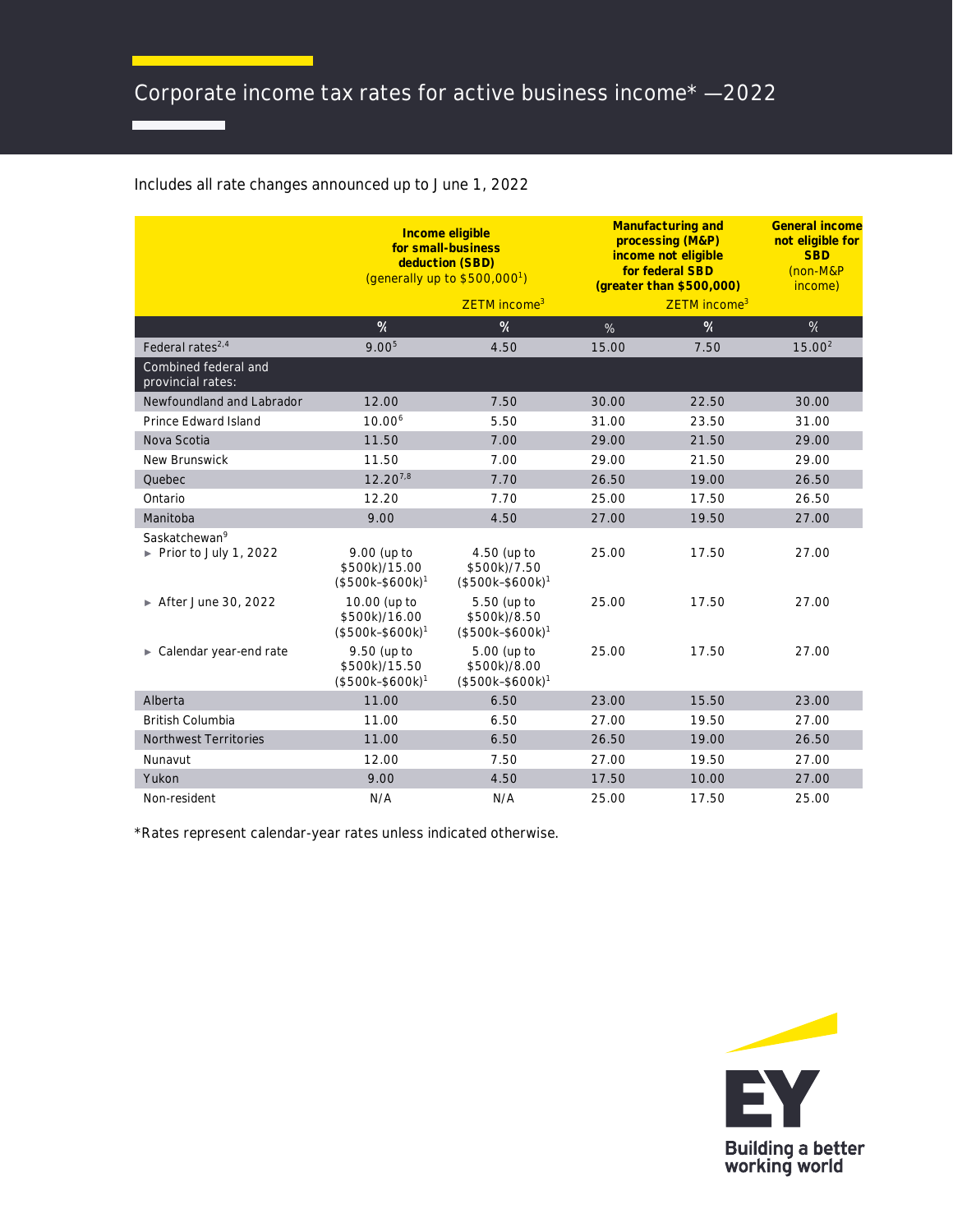## Includes all rate changes announced up to June 1, 2022

|                                                    | Income eligible<br>for small-business<br>deduction (SBD)<br>(generally up to $$500,000$ <sup>1</sup> ) |                                                 | Manufacturing and<br>processing (M&P)<br>income not eligible<br>for federal SBD<br>(greater than \$500,000) |                          | <b>General income</b><br>not eligible for<br><b>SBD</b><br>(non-M&P<br>income) |
|----------------------------------------------------|--------------------------------------------------------------------------------------------------------|-------------------------------------------------|-------------------------------------------------------------------------------------------------------------|--------------------------|--------------------------------------------------------------------------------|
|                                                    |                                                                                                        | ZETM income <sup>3</sup>                        |                                                                                                             | ZETM income <sup>3</sup> |                                                                                |
|                                                    | $\%$                                                                                                   | %                                               | %                                                                                                           | $\%$                     | %                                                                              |
| Federal rates <sup>2,4</sup>                       | 9.00 <sup>5</sup>                                                                                      | 4.50                                            | 15.00                                                                                                       | 7.50                     | 15.00 <sup>2</sup>                                                             |
| Combined federal and<br>provincial rates:          |                                                                                                        |                                                 |                                                                                                             |                          |                                                                                |
| Newfoundland and Labrador                          | 12.00                                                                                                  | 7.50                                            | 30.00                                                                                                       | 22.50                    | 30.00                                                                          |
| Prince Edward Island                               | $10.00^{6}$                                                                                            | 5.50                                            | 31.00                                                                                                       | 23.50                    | 31.00                                                                          |
| Nova Scotia                                        | 11.50                                                                                                  | 7.00                                            | 29.00                                                                                                       | 21.50                    | 29.00                                                                          |
| <b>New Brunswick</b>                               | 11.50                                                                                                  | 7.00                                            | 29.00                                                                                                       | 21.50                    | 29.00                                                                          |
| Quebec                                             | $12.20^{7,8}$                                                                                          | 7.70                                            | 26.50                                                                                                       | 19.00                    | 26.50                                                                          |
| Ontario                                            | 12.20                                                                                                  | 7.70                                            | 25.00                                                                                                       | 17.50                    | 26.50                                                                          |
| Manitoba                                           | 9.00                                                                                                   | 4.50                                            | 27.00                                                                                                       | 19.50                    | 27.00                                                                          |
| Saskatchewan <sup>9</sup><br>Prior to July 1, 2022 | 9.00 (up to<br>\$500k)/15.00<br>$($500k-$600k)1$                                                       | 4.50 (up to<br>\$500k)/7.50<br>$($500k-$600k)1$ | 25.00                                                                                                       | 17.50                    | 27.00                                                                          |
| ► After June 30, 2022                              | 10.00 (up to<br>\$500k)/16.00<br>$($500k-$600k)1$                                                      | 5.50 (up to<br>\$500k)/8.50<br>$($500k-$600k)1$ | 25.00                                                                                                       | 17.50                    | 27.00                                                                          |
| Calendar year-end rate                             | 9.50 (up to<br>\$500k)/15.50<br>$($500k-$600k)1$                                                       | 5.00 (up to<br>\$500k)/8.00<br>$($500k-$600k)1$ | 25.00                                                                                                       | 17.50                    | 27.00                                                                          |
| Alberta                                            | 11.00                                                                                                  | 6.50                                            | 23.00                                                                                                       | 15.50                    | 23.00                                                                          |
| <b>British Columbia</b>                            | 11.00                                                                                                  | 6.50                                            | 27.00                                                                                                       | 19.50                    | 27.00                                                                          |
| <b>Northwest Territories</b>                       | 11.00                                                                                                  | 6.50                                            | 26.50                                                                                                       | 19.00                    | 26.50                                                                          |
| Nunavut                                            | 12.00                                                                                                  | 7.50                                            | 27.00                                                                                                       | 19.50                    | 27.00                                                                          |
| Yukon                                              | 9.00                                                                                                   | 4.50                                            | 17.50                                                                                                       | 10.00                    | 27.00                                                                          |
| Non-resident                                       | N/A                                                                                                    | N/A                                             | 25.00                                                                                                       | 17.50                    | 25.00                                                                          |

\*Rates represent calendar-year rates unless indicated otherwise.

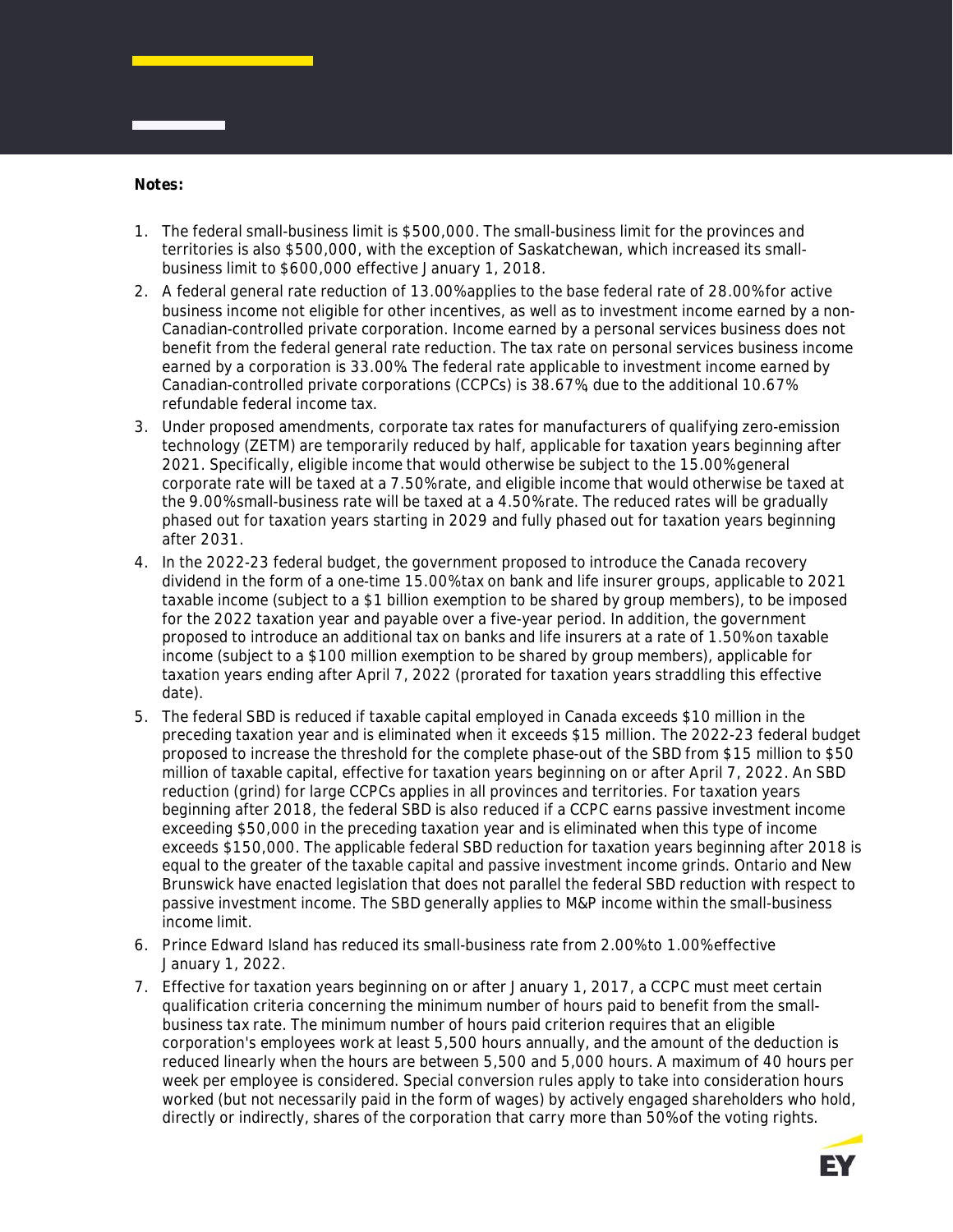**Notes:**

- 1. The federal small-business limit is \$500,000. The small-business limit for the provinces and territories is also \$500,000, with the exception of Saskatchewan, which increased its smallbusiness limit to \$600,000 effective January 1, 2018.
- 2. A federal general rate reduction of 13.00% applies to the base federal rate of 28.00% for active business income not eligible for other incentives, as well as to investment income earned by a non-Canadian-controlled private corporation. Income earned by a personal services business does not benefit from the federal general rate reduction. The tax rate on personal services business income earned by a corporation is 33.00%. The federal rate applicable to investment income earned by Canadian-controlled private corporations (CCPCs) is 38.67%, due to the additional 10.67% refundable federal income tax.
- 3. Under proposed amendments, corporate tax rates for manufacturers of qualifying zero-emission technology (ZETM) are temporarily reduced by half, applicable for taxation years beginning after 2021. Specifically, eligible income that would otherwise be subject to the 15.00% general corporate rate will be taxed at a 7.50% rate, and eligible income that would otherwise be taxed at the 9.00% small-business rate will be taxed at a 4.50% rate. The reduced rates will be gradually phased out for taxation years starting in 2029 and fully phased out for taxation years beginning after 2031.
- 4. In the 2022-23 federal budget, the government proposed to introduce the Canada recovery dividend in the form of a one-time 15.00% tax on bank and life insurer groups, applicable to 2021 taxable income (subject to a \$1 billion exemption to be shared by group members), to be imposed for the 2022 taxation year and payable over a five-year period. In addition, the government proposed to introduce an additional tax on banks and life insurers at a rate of 1.50% on taxable income (subject to a \$100 million exemption to be shared by group members), applicable for taxation years ending after April 7, 2022 (prorated for taxation years straddling this effective date).
- 5. The federal SBD is reduced if taxable capital employed in Canada exceeds \$10 million in the preceding taxation year and is eliminated when it exceeds \$15 million. The 2022-23 federal budget proposed to increase the threshold for the complete phase-out of the SBD from \$15 million to \$50 million of taxable capital, effective for taxation years beginning on or after April 7, 2022. An SBD reduction (grind) for large CCPCs applies in all provinces and territories. For taxation years beginning after 2018, the federal SBD is also reduced if a CCPC earns passive investment income exceeding \$50,000 in the preceding taxation year and is eliminated when this type of income exceeds \$150,000. The applicable federal SBD reduction for taxation years beginning after 2018 is equal to the greater of the taxable capital and passive investment income grinds. Ontario and New Brunswick have enacted legislation that does not parallel the federal SBD reduction with respect to passive investment income. The SBD generally applies to M&P income within the small-business income limit.
- 6. Prince Edward Island has reduced its small-business rate from 2.00% to 1.00% effective January 1, 2022.
- 7. Effective for taxation years beginning on or after January 1, 2017, a CCPC must meet certain qualification criteria concerning the minimum number of hours paid to benefit from the smallbusiness tax rate. The minimum number of hours paid criterion requires that an eligible corporation's employees work at least 5,500 hours annually, and the amount of the deduction is reduced linearly when the hours are between 5,500 and 5,000 hours. A maximum of 40 hours per week per employee is considered. Special conversion rules apply to take into consideration hours worked (but not necessarily paid in the form of wages) by actively engaged shareholders who hold, directly or indirectly, shares of the corporation that carry more than 50% of the voting rights.